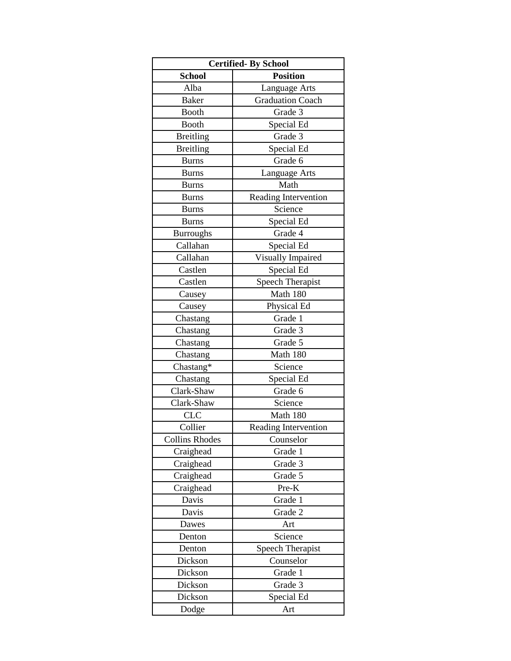|                       | <b>Certified-By School</b> |
|-----------------------|----------------------------|
| <b>School</b>         | <b>Position</b>            |
| Alba                  | Language Arts              |
| <b>Baker</b>          | <b>Graduation Coach</b>    |
| <b>Booth</b>          | Grade 3                    |
| <b>Booth</b>          | Special Ed                 |
| <b>Breitling</b>      | Grade 3                    |
| <b>Breitling</b>      | Special Ed                 |
| <b>Burns</b>          | Grade 6                    |
| <b>Burns</b>          | Language Arts              |
| <b>Burns</b>          | Math                       |
| <b>Burns</b>          | Reading Intervention       |
| <b>Burns</b>          | Science                    |
| <b>Burns</b>          | Special Ed                 |
| <b>Burroughs</b>      | Grade 4                    |
| Callahan              | Special Ed                 |
| Callahan              | Visually Impaired          |
| Castlen               | Special Ed                 |
| Castlen               | <b>Speech Therapist</b>    |
| Causey                | Math 180                   |
| Causey                | Physical Ed                |
| Chastang              | Grade 1                    |
| Chastang              | Grade 3                    |
| Chastang              | Grade 5                    |
| Chastang              | Math 180                   |
| Chastang*             | Science                    |
| Chastang              | Special Ed                 |
| Clark-Shaw            | Grade 6                    |
| Clark-Shaw            | Science                    |
| <b>CLC</b>            | Math 180                   |
| Collier               | Reading Intervention       |
| <b>Collins Rhodes</b> | Counselor                  |
| Craighead             | Grade 1                    |
| Craighead             | Grade 3                    |
| Craighead             | Grade 5                    |
| Craighead             | Pre-K                      |
| Davis                 | Grade 1                    |
| Davis                 | Grade 2                    |
| Dawes                 | Art                        |
| Denton                | Science                    |
| Denton                | <b>Speech Therapist</b>    |
| Dickson               | Counselor                  |
| Dickson               | Grade 1                    |
| Dickson               | Grade 3                    |
| Dickson               | Special Ed                 |
| Dodge                 | Art                        |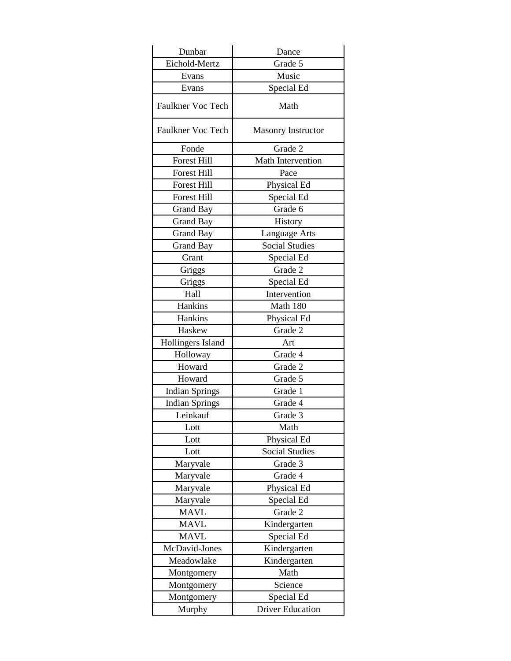| Dunbar                   | Dance                     |
|--------------------------|---------------------------|
| Eichold-Mertz            | Grade 5                   |
| Evans                    | Music                     |
| Evans                    | Special Ed                |
| Faulkner Voc Tech        | Math                      |
| <b>Faulkner Voc Tech</b> | <b>Masonry Instructor</b> |
| Fonde                    | Grade 2                   |
| <b>Forest Hill</b>       | <b>Math Intervention</b>  |
| <b>Forest Hill</b>       | Pace                      |
| <b>Forest Hill</b>       | Physical Ed               |
| <b>Forest Hill</b>       | Special Ed                |
| Grand Bay                | Grade 6                   |
| <b>Grand Bay</b>         | History                   |
| <b>Grand Bay</b>         | <b>Language Arts</b>      |
| <b>Grand Bay</b>         | <b>Social Studies</b>     |
| Grant                    | Special Ed                |
| Griggs                   | Grade 2                   |
| Griggs                   | Special Ed                |
| Hall                     | Intervention              |
| Hankins                  | Math 180                  |
| Hankins                  | Physical Ed               |
| Haskew                   | Grade 2                   |
| Hollingers Island        | Art                       |
| Holloway                 | Grade 4                   |
| Howard                   | Grade 2                   |
| Howard                   | Grade 5                   |
| <b>Indian Springs</b>    | Grade 1                   |
| <b>Indian Springs</b>    | Grade 4                   |
| Leinkauf                 | Grade 3                   |
| Lott                     | Math                      |
| Lott                     | Physical Ed               |
| Lott                     | <b>Social Studies</b>     |
| Maryvale                 | Grade 3                   |
| Maryvale                 | Grade 4                   |
| Maryvale                 | Physical Ed               |
| Maryvale                 | Special Ed                |
| <b>MAVL</b>              | Grade 2                   |
| <b>MAVL</b>              | Kindergarten              |
| <b>MAVL</b>              | Special Ed                |
| McDavid-Jones            | Kindergarten              |
| Meadowlake               | Kindergarten              |
| Montgomery               | Math                      |
| Montgomery               | Science                   |
| Montgomery               | Special Ed                |
| Murphy                   | <b>Driver Education</b>   |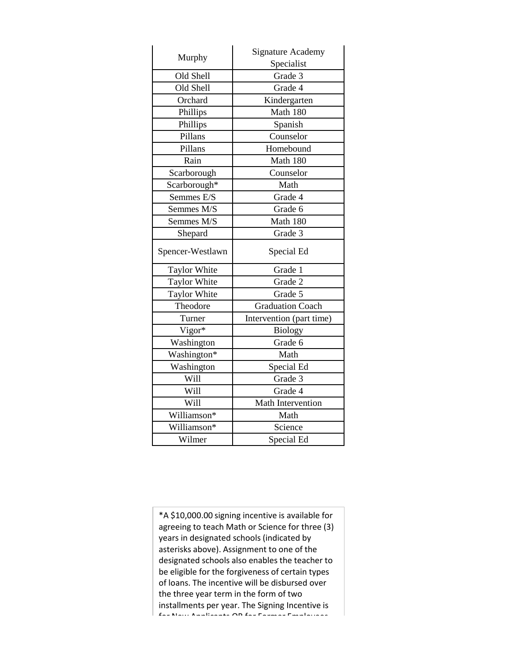| Murphy              | <b>Signature Academy</b><br>Specialist |
|---------------------|----------------------------------------|
| Old Shell           | Grade 3                                |
| Old Shell           | Grade 4                                |
| Orchard             |                                        |
|                     | Kindergarten                           |
| Phillips            | Math 180                               |
| Phillips            | Spanish                                |
| Pillans             | Counselor                              |
| Pillans             | Homebound                              |
| Rain                | Math 180                               |
| Scarborough         | Counselor                              |
| Scarborough*        | Math                                   |
| Semmes E/S          | Grade 4                                |
| Semmes M/S          | Grade 6                                |
| Semmes M/S          | Math 180                               |
| Shepard             | Grade 3                                |
| Spencer-Westlawn    | Special Ed                             |
| <b>Taylor White</b> | Grade 1                                |
| <b>Taylor White</b> | Grade 2                                |
| <b>Taylor White</b> | Grade 5                                |
| Theodore            | <b>Graduation Coach</b>                |
| Turner              | Intervention (part time)               |
| Vigor*              | <b>Biology</b>                         |
| Washington          | Grade 6                                |
| Washington*         | Math                                   |
|                     |                                        |
| Washington          | Special Ed                             |
| Will                | Grade 3                                |
| Will                | Grade 4                                |
| Will                | Math Intervention                      |
| Williamson*         | Math                                   |
| Williamson*         | Science                                |

\*A \$10,000.00 signing incentive is available for agreeing to teach Math or Science for three (3) years in designated schools (indicated by asterisks above). Assignment to one of the designated schools also enables the teacher to be eligible for the forgiveness of certain types of loans. The incentive will be disbursed over the three year term in the form of two installments per year. The Signing Incentive is for New Applicants OR for Former Employees